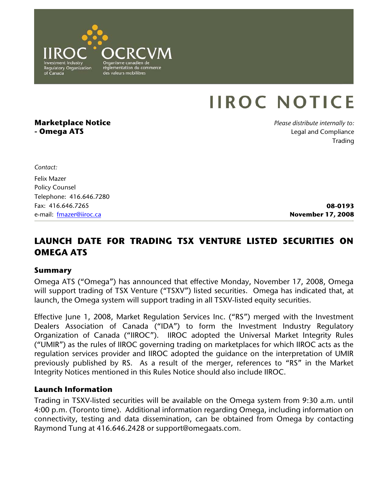

# **IIROC NOTICE**

# **Marketplace Notice - Omega ATS**

*Please distribute internally to:* Legal and Compliance Trading

*Contact:* 

Felix Mazer Policy Counsel Telephone: 416.646.7280 Fax: 416.646.7265 e-mail: fmazer@iiroc.ca

**08-0193 November 17, 2008**

# **LAUNCH DATE FOR TRADING TSX VENTURE LISTED SECURITIES ON OMEGA ATS**

#### **Summary**

Omega ATS ("Omega") has announced that effective Monday, November 17, 2008, Omega will support trading of TSX Venture ("TSXV") listed securities. Omega has indicated that, at launch, the Omega system will support trading in all TSXV-listed equity securities.

Effective June 1, 2008, Market Regulation Services Inc. ("RS") merged with the Investment Dealers Association of Canada ("IDA") to form the Investment Industry Regulatory Organization of Canada ("IIROC"). IIROC adopted the Universal Market Integrity Rules ("UMIR") as the rules of IIROC governing trading on marketplaces for which IIROC acts as the regulation services provider and IIROC adopted the guidance on the interpretation of UMIR previously published by RS. As a result of the merger, references to "RS" in the Market Integrity Notices mentioned in this Rules Notice should also include IIROC.

#### **Launch Information**

Trading in TSXV-listed securities will be available on the Omega system from 9:30 a.m. until 4:00 p.m. (Toronto time). Additional information regarding Omega, including information on connectivity, testing and data dissemination, can be obtained from Omega by contacting Raymond Tung at 416.646.2428 or support@omegaats.com.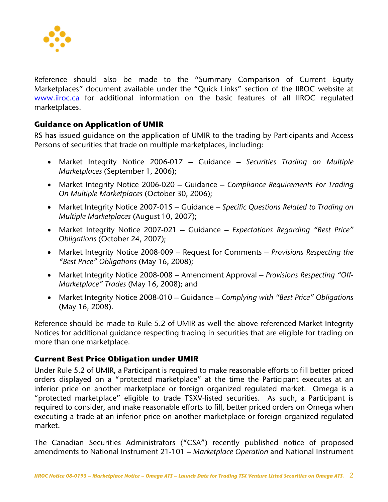

Reference should also be made to the "Summary Comparison of Current Equity Marketplaces" document available under the "Quick Links" section of the IIROC website at www.iiroc.ca for additional information on the basic features of all IIROC regulated marketplaces.

## **Guidance on Application of UMIR**

RS has issued guidance on the application of UMIR to the trading by Participants and Access Persons of securities that trade on multiple marketplaces, including:

- Market Integrity Notice 2006-017 Guidance *Securities Trading on Multiple Marketplaces* (September 1, 2006);
- Market Integrity Notice 2006-020 Guidance *Compliance Requirements For Trading On Multiple Marketplaces* (October 30, 2006);
- Market Integrity Notice 2007-015 Guidance *Specific Questions Related to Trading on Multiple Marketplaces* (August 10, 2007);
- Market Integrity Notice 2007-021 Guidance *Expectations Regarding "Best Price" Obligations* (October 24, 2007);
- Market Integrity Notice 2008-009 Request for Comments *Provisions Respecting the "Best Price" Obligations* (May 16, 2008);
- Market Integrity Notice 2008-008 Amendment Approval *Provisions Respecting "Off-Marketplace" Trades* (May 16, 2008); and
- Market Integrity Notice 2008-010 Guidance *Complying with "Best Price" Obligations*  (May 16, 2008).

Reference should be made to Rule 5.2 of UMIR as well the above referenced Market Integrity Notices for additional guidance respecting trading in securities that are eligible for trading on more than one marketplace.

## **Current Best Price Obligation under UMIR**

Under Rule 5.2 of UMIR, a Participant is required to make reasonable efforts to fill better priced orders displayed on a "protected marketplace" at the time the Participant executes at an inferior price on another marketplace or foreign organized regulated market. Omega is a "protected marketplace" eligible to trade TSXV-listed securities. As such, a Participant is required to consider, and make reasonable efforts to fill, better priced orders on Omega when executing a trade at an inferior price on another marketplace or foreign organized regulated market.

The Canadian Securities Administrators ("CSA") recently published notice of proposed amendments to National Instrument 21-101 – *Marketplace Operation* and National Instrument